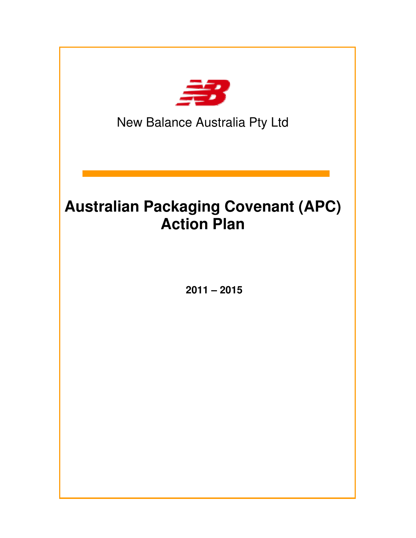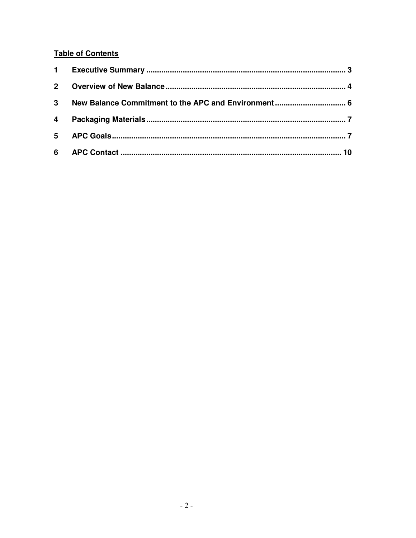#### **Table of Contents**

| $2^{\circ}$ |  |
|-------------|--|
| $3^{\circ}$ |  |
|             |  |
|             |  |
|             |  |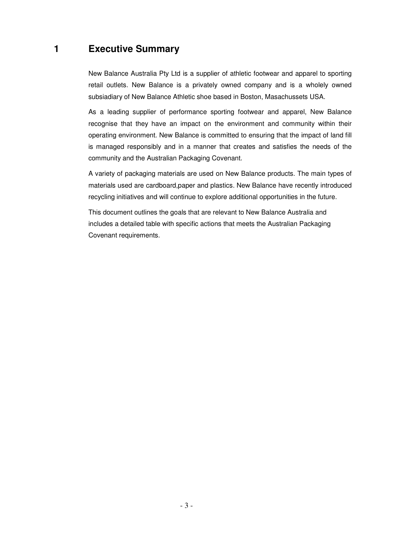## **1 Executive Summary**

New Balance Australia Pty Ltd is a supplier of athletic footwear and apparel to sporting retail outlets. New Balance is a privately owned company and is a wholely owned subsiadiary of New Balance Athletic shoe based in Boston, Masachussets USA.

As a leading supplier of performance sporting footwear and apparel, New Balance recognise that they have an impact on the environment and community within their operating environment. New Balance is committed to ensuring that the impact of land fill is managed responsibly and in a manner that creates and satisfies the needs of the community and the Australian Packaging Covenant.

A variety of packaging materials are used on New Balance products. The main types of materials used are cardboard,paper and plastics. New Balance have recently introduced recycling initiatives and will continue to explore additional opportunities in the future.

This document outlines the goals that are relevant to New Balance Australia and includes a detailed table with specific actions that meets the Australian Packaging Covenant requirements.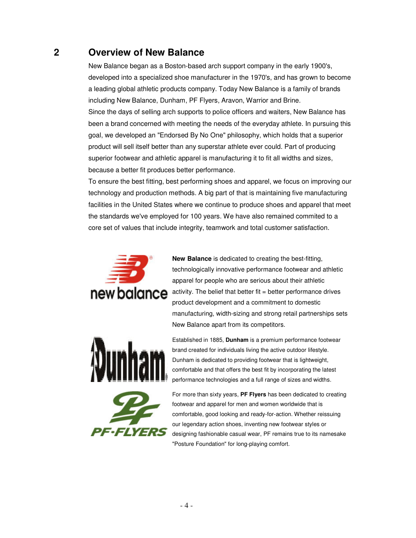## **2 Overview of New Balance**

New Balance began as a Boston-based arch support company in the early 1900's, developed into a specialized shoe manufacturer in the 1970's, and has grown to become a leading global athletic products company. Today New Balance is a family of brands including New Balance, Dunham, PF Flyers, Aravon, Warrior and Brine. Since the days of selling arch supports to police officers and waiters, New Balance has been a brand concerned with meeting the needs of the everyday athlete. In pursuing this goal, we developed an "Endorsed By No One" philosophy, which holds that a superior product will sell itself better than any superstar athlete ever could. Part of producing superior footwear and athletic apparel is manufacturing it to fit all widths and sizes, because a better fit produces better performance.

To ensure the best fitting, best performing shoes and apparel, we focus on improving our technology and production methods. A big part of that is maintaining five manufacturing facilities in the United States where we continue to produce shoes and apparel that meet the standards we've employed for 100 years. We have also remained commited to a core set of values that include integrity, teamwork and total customer satisfaction.



**New Balance** is dedicated to creating the best-fitting, technologically innovative performance footwear and athletic apparel for people who are serious about their athletic activity. The belief that better fit = better performance drives product development and a commitment to domestic manufacturing, width-sizing and strong retail partnerships sets New Balance apart from its competitors.



Established in 1885, **Dunham** is a premium performance footwear brand created for individuals living the active outdoor lifestyle. Dunham is dedicated to providing footwear that is lightweight, comfortable and that offers the best fit by incorporating the latest performance technologies and a full range of sizes and widths.



For more than sixty years, **PF Flyers** has been dedicated to creating footwear and apparel for men and women worldwide that is comfortable, good looking and ready-for-action. Whether reissuing our legendary action shoes, inventing new footwear styles or designing fashionable casual wear, PF remains true to its namesake "Posture Foundation" for long-playing comfort.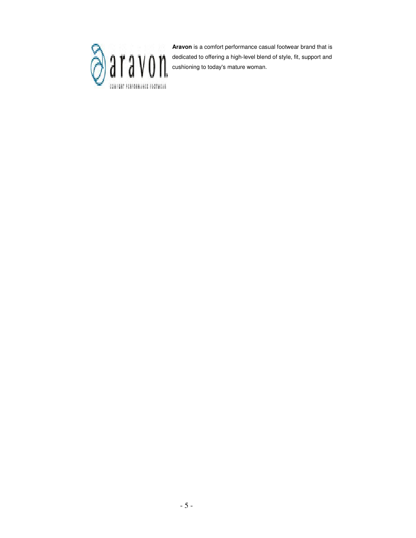

**Aravon** is a comfort performance casual footwear brand that is dedicated to offering a high-level blend of style, fit, support and cushioning to today's mature woman.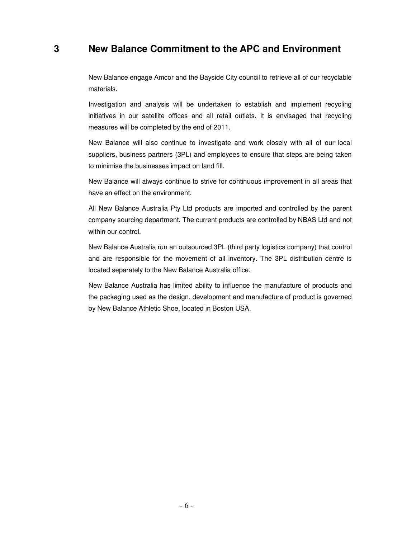### **3 New Balance Commitment to the APC and Environment**

New Balance engage Amcor and the Bayside City council to retrieve all of our recyclable materials.

Investigation and analysis will be undertaken to establish and implement recycling initiatives in our satellite offices and all retail outlets. It is envisaged that recycling measures will be completed by the end of 2011.

New Balance will also continue to investigate and work closely with all of our local suppliers, business partners (3PL) and employees to ensure that steps are being taken to minimise the businesses impact on land fill.

New Balance will always continue to strive for continuous improvement in all areas that have an effect on the environment.

All New Balance Australia Pty Ltd products are imported and controlled by the parent company sourcing department. The current products are controlled by NBAS Ltd and not within our control.

New Balance Australia run an outsourced 3PL (third party logistics company) that control and are responsible for the movement of all inventory. The 3PL distribution centre is located separately to the New Balance Australia office.

New Balance Australia has limited ability to influence the manufacture of products and the packaging used as the design, development and manufacture of product is governed by New Balance Athletic Shoe, located in Boston USA.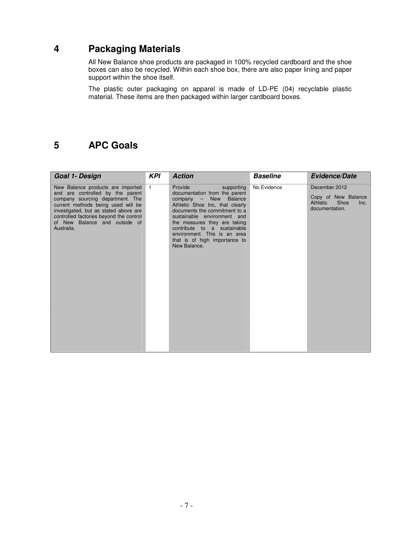## **4 Packaging Materials**

All New Balance shoe products are packaged in 100% recycled cardboard and the shoe boxes can also be recycled. Within each shoe box, there are also paper lining and paper support within the shoe itself.

The plastic outer packaging on apparel is made of LD-PE (04) recyclable plastic material. These items are then packaged within larger cardboard boxes.

## **5 APC Goals**

| <b>Goal 1- Design</b>                                                                                                                                                                                                                                                              | <b>KPI</b>   | <b>Action</b>                                                                                                                                                                                                                                                                                                                                    | <b>Baseline</b> | <b>Evidence/Date</b>                                                               |
|------------------------------------------------------------------------------------------------------------------------------------------------------------------------------------------------------------------------------------------------------------------------------------|--------------|--------------------------------------------------------------------------------------------------------------------------------------------------------------------------------------------------------------------------------------------------------------------------------------------------------------------------------------------------|-----------------|------------------------------------------------------------------------------------|
| New Balance products are imported<br>and are controlled by the parent<br>company sourcing department. The<br>current methods being used will be<br>investigated, but as stated above are<br>controlled factories beyond the control<br>of New Balance and outside of<br>Australia. | $\mathbf{1}$ | Provide<br>supporting<br>documentation from the parent<br>New<br><b>Balance</b><br>$common -$<br>Athletic Shoe Inc, that clearly<br>documents the commitment to a<br>sustainable environment and<br>the measures they are taking<br>contribute to a sustainable<br>environment. This is an area<br>that is of high importance to<br>New Balance. | No Evidence     | December 2012<br>Copy of New Balance<br>Athletic<br>Shoe<br>Inc.<br>documentation. |
|                                                                                                                                                                                                                                                                                    |              |                                                                                                                                                                                                                                                                                                                                                  |                 |                                                                                    |
|                                                                                                                                                                                                                                                                                    |              |                                                                                                                                                                                                                                                                                                                                                  |                 |                                                                                    |
|                                                                                                                                                                                                                                                                                    |              |                                                                                                                                                                                                                                                                                                                                                  |                 |                                                                                    |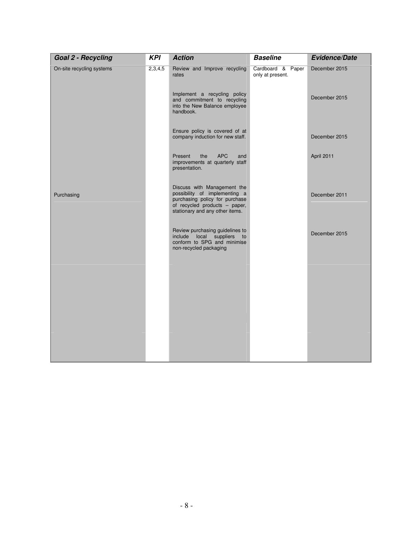| <b>Goal 2 - Recycling</b> | <b>KPI</b> | <b>Action</b>                                                                                                                                                      | <b>Baseline</b>                       | <b>Evidence/Date</b> |
|---------------------------|------------|--------------------------------------------------------------------------------------------------------------------------------------------------------------------|---------------------------------------|----------------------|
| On-site recycling systems | 2,3,4,5    | Review and Improve recycling<br>rates                                                                                                                              | Cardboard & Paper<br>only at present. | December 2015        |
|                           |            | Implement a recycling policy<br>and commitment to recycling<br>into the New Balance employee<br>handbook.                                                          |                                       | December 2015        |
|                           |            | Ensure policy is covered of at<br>company induction for new staff.                                                                                                 |                                       | December 2015        |
|                           |            | Present<br>the<br><b>APC</b><br>and<br>improvements at quarterly staff<br>presentation.                                                                            |                                       | April 2011           |
| Purchasing                |            | Discuss with Management the<br>possibility of implementing a<br>purchasing policy for purchase<br>of recycled products - paper,<br>stationary and any other items. |                                       | December 2011        |
|                           |            | Review purchasing guidelines to<br>include local suppliers<br>to<br>conform to SPG and minimise<br>non-recycled packaging                                          |                                       | December 2015        |
|                           |            |                                                                                                                                                                    |                                       |                      |
|                           |            |                                                                                                                                                                    |                                       |                      |
|                           |            |                                                                                                                                                                    |                                       |                      |
|                           |            |                                                                                                                                                                    |                                       |                      |
|                           |            |                                                                                                                                                                    |                                       |                      |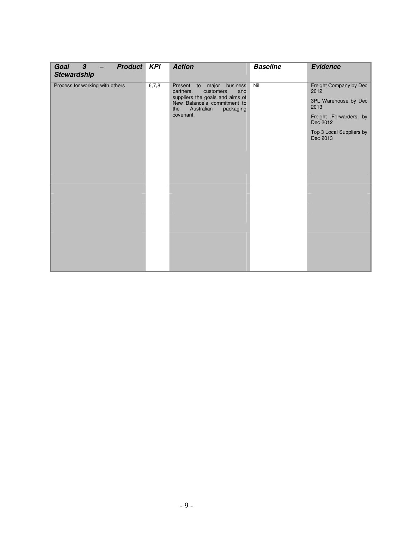| <b>Product</b><br>Goal<br>$\boldsymbol{\beta}$<br><b>Stewardship</b> | <b>KPI</b> | <b>Action</b>                                                                                                                                                                  | <b>Baseline</b> | <b>Evidence</b>                                                                                                                             |
|----------------------------------------------------------------------|------------|--------------------------------------------------------------------------------------------------------------------------------------------------------------------------------|-----------------|---------------------------------------------------------------------------------------------------------------------------------------------|
| Process for working with others                                      | 6,7,8      | Present to major<br>business<br>customers<br>partners,<br>and<br>suppliers the goals and aims of<br>New Balance's commitment to<br>Australian<br>the<br>packaging<br>covenant. | Nil             | Freight Company by Dec<br>2012<br>3PL Warehouse by Dec<br>2013<br>Freight Forwarders by<br>Dec 2012<br>Top 3 Local Suppliers by<br>Dec 2013 |
|                                                                      |            |                                                                                                                                                                                |                 |                                                                                                                                             |